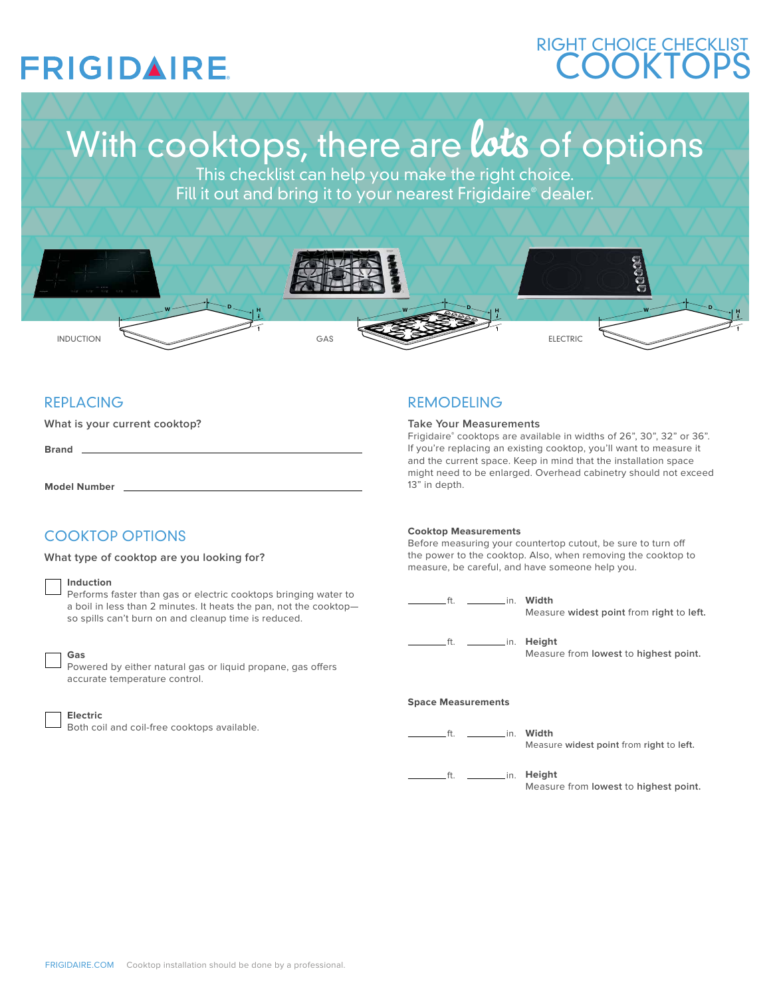## **FRIGIDAIRE**

## **COOKTOPS** RIGHT CHOICE CHECKLIST

# With cooktops, there are lots of options

This checklist can help you make the right choice. Fill it out and bring it to your nearest Frigidaire® dealer.



## REPLACING

**What is your current cooktop?**

**Brand**

**Model Number**

## COOKTOP OPTIONS

**What type of cooktop are you looking for?** 

#### **Induction**

Performs faster than gas or electric cooktops bringing water to a boil in less than 2 minutes. It heats the pan, not the cooktop so spills can't burn on and cleanup time is reduced.

| ۰<br>٠ |
|--------|
|        |

## **Gas**

Powered by either natural gas or liquid propane, gas offers accurate temperature control.

#### **Electric**

Both coil and coil-free cooktops available.

## REMODELING

#### **Take Your Measurements**

Frigidaire® cooktops are available in widths of 26", 30", 32" or 36". If you're replacing an existing cooktop, you'll want to measure it and the current space. Keep in mind that the installation space might need to be enlarged. Overhead cabinetry should not exceed 13" in depth.

#### **Cooktop Measurements**

Before measuring your countertop cutout, be sure to turn of the power to the cooktop. Also, when removing the cooktop to measure, be careful, and have someone help you.

ft. <u>\_\_\_\_\_\_\_\_\_\_\_</u>in. **Width** Measure **widest point** from **right** to **left.** ft. **in.** Height Measure from **lowest** to **highest point.**

#### **Space Measurements**

ft. **\_\_\_\_\_\_\_\_\_\_\_\_\_ in. Width** 

Measure **widest point** from **right** to **left.**

ft. **\_\_\_\_\_\_\_\_\_\_\_\_ in. Height** 

Measure from **lowest** to **highest point.**